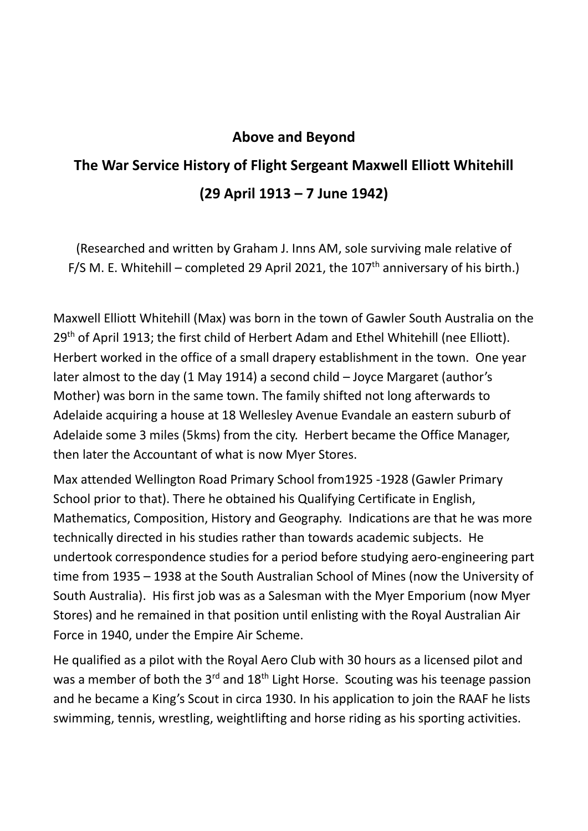## **Above and Beyond**

## **The War Service History of Flight Sergeant Maxwell Elliott Whitehill (29 April 1913 – 7 June 1942)**

(Researched and written by Graham J. Inns AM, sole surviving male relative of F/S M. E. Whitehill – completed 29 April 2021, the  $107<sup>th</sup>$  anniversary of his birth.)

Maxwell Elliott Whitehill (Max) was born in the town of Gawler South Australia on the 29<sup>th</sup> of April 1913; the first child of Herbert Adam and Ethel Whitehill (nee Elliott). Herbert worked in the office of a small drapery establishment in the town. One year later almost to the day (1 May 1914) a second child – Joyce Margaret (author's Mother) was born in the same town. The family shifted not long afterwards to Adelaide acquiring a house at 18 Wellesley Avenue Evandale an eastern suburb of Adelaide some 3 miles (5kms) from the city. Herbert became the Office Manager, then later the Accountant of what is now Myer Stores.

Max attended Wellington Road Primary School from1925 -1928 (Gawler Primary School prior to that). There he obtained his Qualifying Certificate in English, Mathematics, Composition, History and Geography. Indications are that he was more technically directed in his studies rather than towards academic subjects. He undertook correspondence studies for a period before studying aero-engineering part time from 1935 – 1938 at the South Australian School of Mines (now the University of South Australia). His first job was as a Salesman with the Myer Emporium (now Myer Stores) and he remained in that position until enlisting with the Royal Australian Air Force in 1940, under the Empire Air Scheme.

He qualified as a pilot with the Royal Aero Club with 30 hours as a licensed pilot and was a member of both the  $3^{rd}$  and  $18^{th}$  Light Horse. Scouting was his teenage passion and he became a King's Scout in circa 1930. In his application to join the RAAF he lists swimming, tennis, wrestling, weightlifting and horse riding as his sporting activities.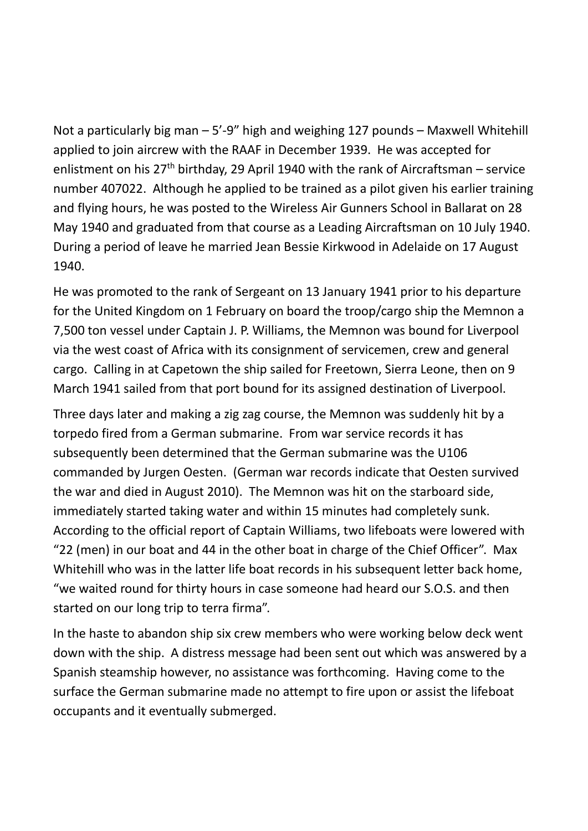Not a particularly big man – 5'-9" high and weighing 127 pounds – Maxwell Whitehill applied to join aircrew with the RAAF in December 1939. He was accepted for enlistment on his 27<sup>th</sup> birthday, 29 April 1940 with the rank of Aircraftsman – service number 407022. Although he applied to be trained as a pilot given his earlier training and flying hours, he was posted to the Wireless Air Gunners School in Ballarat on 28 May 1940 and graduated from that course as a Leading Aircraftsman on 10 July 1940. During a period of leave he married Jean Bessie Kirkwood in Adelaide on 17 August 1940.

He was promoted to the rank of Sergeant on 13 January 1941 prior to his departure for the United Kingdom on 1 February on board the troop/cargo ship the Memnon a 7,500 ton vessel under Captain J. P. Williams, the Memnon was bound for Liverpool via the west coast of Africa with its consignment of servicemen, crew and general cargo. Calling in at Capetown the ship sailed for Freetown, Sierra Leone, then on 9 March 1941 sailed from that port bound for its assigned destination of Liverpool.

Three days later and making a zig zag course, the Memnon was suddenly hit by a torpedo fired from a German submarine. From war service records it has subsequently been determined that the German submarine was the U106 commanded by Jurgen Oesten. (German war records indicate that Oesten survived the war and died in August 2010). The Memnon was hit on the starboard side, immediately started taking water and within 15 minutes had completely sunk. According to the official report of Captain Williams, two lifeboats were lowered with "22 (men) in our boat and 44 in the other boat in charge of the Chief Officer". Max Whitehill who was in the latter life boat records in his subsequent letter back home, "we waited round for thirty hours in case someone had heard our S.O.S. and then started on our long trip to terra firma".

In the haste to abandon ship six crew members who were working below deck went down with the ship. A distress message had been sent out which was answered by a Spanish steamship however, no assistance was forthcoming. Having come to the surface the German submarine made no attempt to fire upon or assist the lifeboat occupants and it eventually submerged.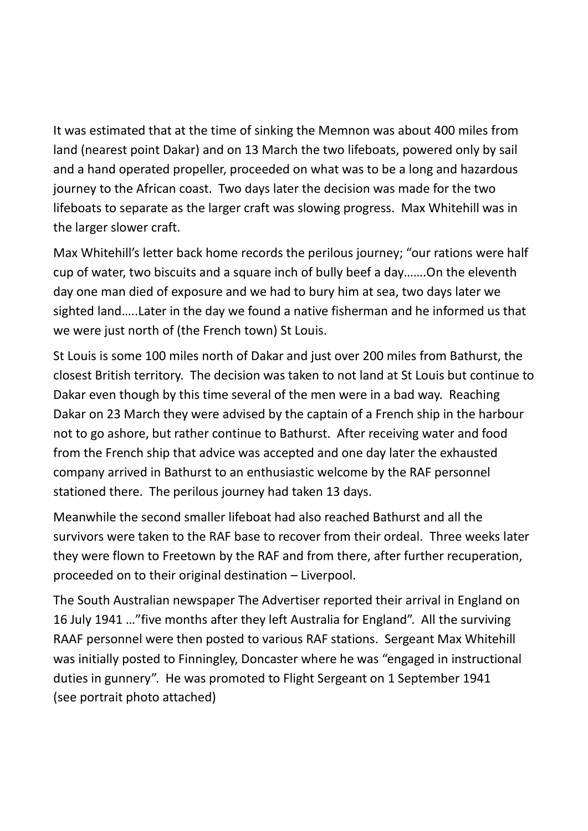It was estimated that at the time of sinking the Memnon was about 400 miles from land (nearest point Dakar) and on 13 March the two lifeboats, powered only by sail and a hand operated propeller, proceeded on what was to be a long and hazardous journey to the African coast. Two days later the decision was made for the two lifeboats to separate as the larger craft was slowing progress. Max Whitehill was in the larger slower craft.

Max Whitehill's letter back home records the perilous journey; "our rations were half cup of water, two biscuits and a square inch of bully beef a day…….On the eleventh day one man died of exposure and we had to bury him at sea, two days later we sighted land…..Later in the day we found a native fisherman and he informed us that we were just north of (the French town) St Louis.

St Louis is some 100 miles north of Dakar and just over 200 miles from Bathurst, the closest British territory. The decision was taken to not land at St Louis but continue to Dakar even though by this time several of the men were in a bad way. Reaching Dakar on 23 March they were advised by the captain of a French ship in the harbour not to go ashore, but rather continue to Bathurst. After receiving water and food from the French ship that advice was accepted and one day later the exhausted company arrived in Bathurst to an enthusiastic welcome by the RAF personnel stationed there. The perilous journey had taken 13 days.

Meanwhile the second smaller lifeboat had also reached Bathurst and all the survivors were taken to the RAF base to recover from their ordeal. Three weeks later they were flown to Freetown by the RAF and from there, after further recuperation, proceeded on to their original destination – Liverpool.

The South Australian newspaper The Advertiser reported their arrival in England on 16 July 1941 …"five months after they left Australia for England". All the surviving RAAF personnel were then posted to various RAF stations. Sergeant Max Whitehill was initially posted to Finningley, Doncaster where he was "engaged in instructional duties in gunnery". He was promoted to Flight Sergeant on 1 September 1941 (see portrait photo attached)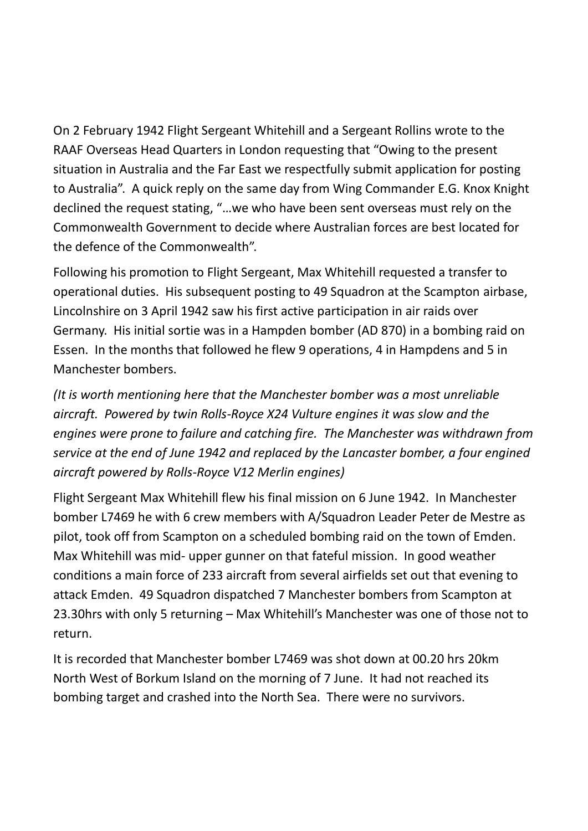On 2 February 1942 Flight Sergeant Whitehill and a Sergeant Rollins wrote to the RAAF Overseas Head Quarters in London requesting that "Owing to the present situation in Australia and the Far East we respectfully submit application for posting to Australia". A quick reply on the same day from Wing Commander E.G. Knox Knight declined the request stating, "…we who have been sent overseas must rely on the Commonwealth Government to decide where Australian forces are best located for the defence of the Commonwealth".

Following his promotion to Flight Sergeant, Max Whitehill requested a transfer to operational duties. His subsequent posting to 49 Squadron at the Scampton airbase, Lincolnshire on 3 April 1942 saw his first active participation in air raids over Germany. His initial sortie was in a Hampden bomber (AD 870) in a bombing raid on Essen. In the months that followed he flew 9 operations, 4 in Hampdens and 5 in Manchester bombers.

*(It is worth mentioning here that the Manchester bomber was a most unreliable aircraft. Powered by twin Rolls-Royce X24 Vulture engines it was slow and the engines were prone to failure and catching fire. The Manchester was withdrawn from service at the end of June 1942 and replaced by the Lancaster bomber, a four engined aircraft powered by Rolls-Royce V12 Merlin engines)*

Flight Sergeant Max Whitehill flew his final mission on 6 June 1942. In Manchester bomber L7469 he with 6 crew members with A/Squadron Leader Peter de Mestre as pilot, took off from Scampton on a scheduled bombing raid on the town of Emden. Max Whitehill was mid- upper gunner on that fateful mission. In good weather conditions a main force of 233 aircraft from several airfields set out that evening to attack Emden. 49 Squadron dispatched 7 Manchester bombers from Scampton at 23.30hrs with only 5 returning – Max Whitehill's Manchester was one of those not to return.

It is recorded that Manchester bomber L7469 was shot down at 00.20 hrs 20km North West of Borkum Island on the morning of 7 June. It had not reached its bombing target and crashed into the North Sea. There were no survivors.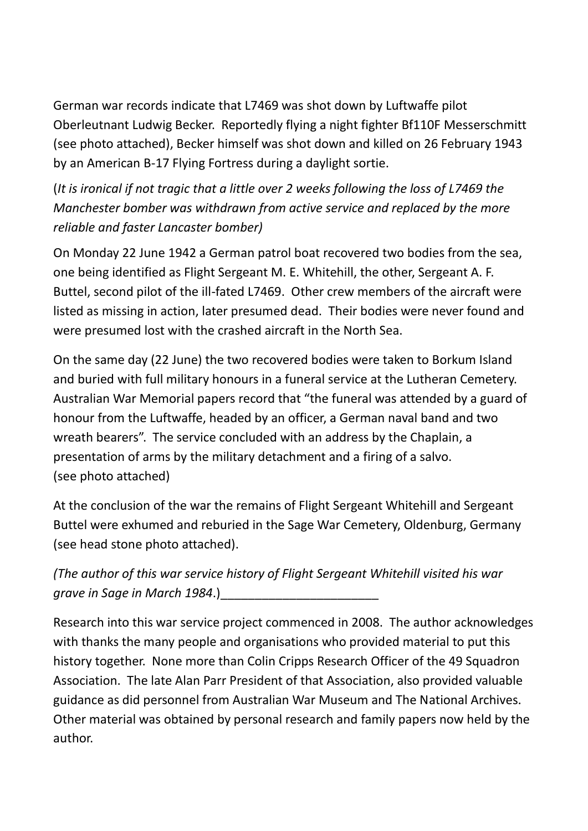German war records indicate that L7469 was shot down by Luftwaffe pilot Oberleutnant Ludwig Becker. Reportedly flying a night fighter Bf110F Messerschmitt (see photo attached), Becker himself was shot down and killed on 26 February 1943 by an American B-17 Flying Fortress during a daylight sortie.

(*It is ironical if not tragic that a little over 2 weeks following the loss of L7469 the Manchester bomber was withdrawn from active service and replaced by the more reliable and faster Lancaster bomber)*

On Monday 22 June 1942 a German patrol boat recovered two bodies from the sea, one being identified as Flight Sergeant M. E. Whitehill, the other, Sergeant A. F. Buttel, second pilot of the ill-fated L7469. Other crew members of the aircraft were listed as missing in action, later presumed dead. Their bodies were never found and were presumed lost with the crashed aircraft in the North Sea.

On the same day (22 June) the two recovered bodies were taken to Borkum Island and buried with full military honours in a funeral service at the Lutheran Cemetery. Australian War Memorial papers record that "the funeral was attended by a guard of honour from the Luftwaffe, headed by an officer, a German naval band and two wreath bearers". The service concluded with an address by the Chaplain, a presentation of arms by the military detachment and a firing of a salvo. (see photo attached)

At the conclusion of the war the remains of Flight Sergeant Whitehill and Sergeant Buttel were exhumed and reburied in the Sage War Cemetery, Oldenburg, Germany (see head stone photo attached).

*(The author of this war service history of Flight Sergeant Whitehill visited his war grave in Sage in March 1984*.)\_\_\_\_\_\_\_\_\_\_\_\_\_\_\_\_\_\_\_\_\_\_\_

Research into this war service project commenced in 2008. The author acknowledges with thanks the many people and organisations who provided material to put this history together. None more than Colin Cripps Research Officer of the 49 Squadron Association. The late Alan Parr President of that Association, also provided valuable guidance as did personnel from Australian War Museum and The National Archives. Other material was obtained by personal research and family papers now held by the author.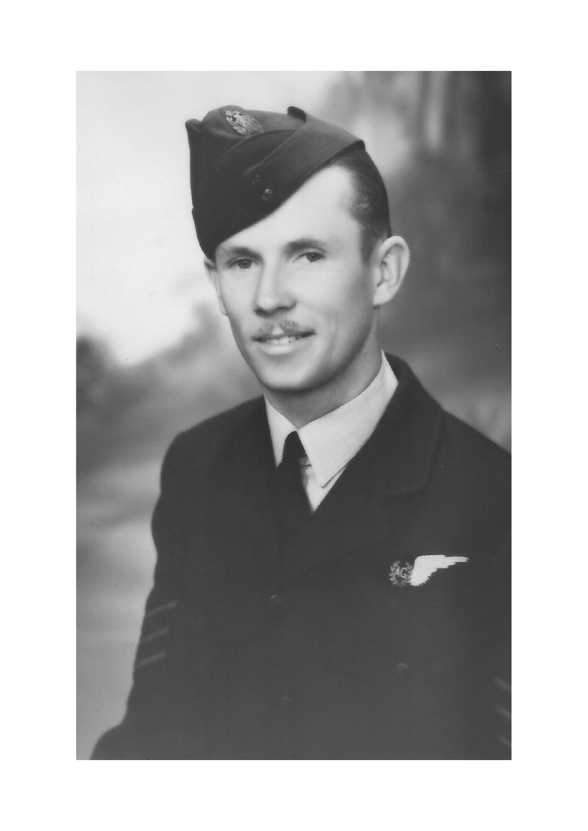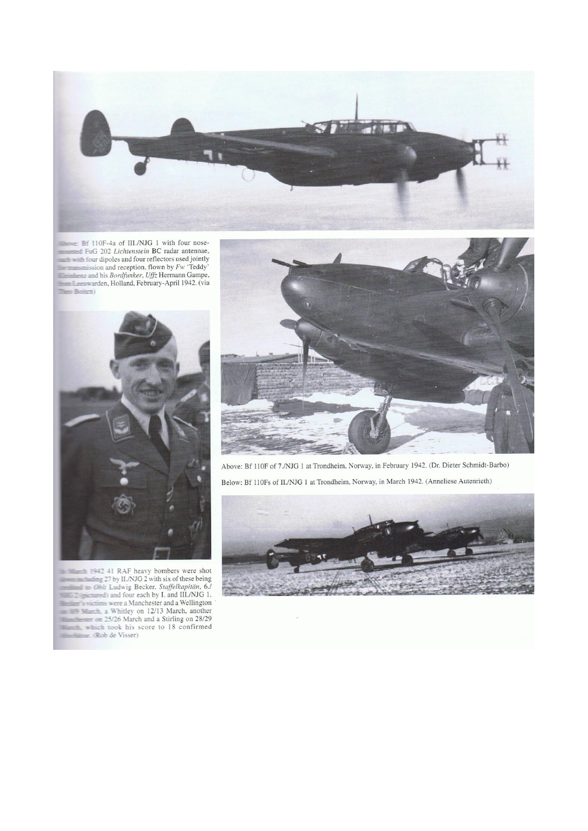

Example 110F-4a of III./NJG 1 with four nose-<br>
and FuG 202 *Lichtenstein* BC radar antennae,<br>
with four dipoles and four reflectors used jointly<br> **Example 202** *Lichtenstein* BC radar antennae,<br> **Example 3** and his *Bordf* Then Baiten)



**EXAMPLE 1942 41 RAF heavy bombers were shot**<br> **EXAMPLE 27 by IL/NJG 2 with six of these being**<br> **EXAMPLE 27 by IL/NJG 2 with six of these being**<br> **EXAMPLE 27 by IL/NJG 2 with six of these being**<br> **EXAMPLE 28 by L.** and II and four each by 1. and IMMIND 1.<br>
The statistics were a Manchester and a Wellington<br>
White a Whitely on 12/13 March, another<br>
States on 25/26 March and a Stirling on 28/29 **Minimum (Rob de Visser)** 



Above: Bf 110F of 7./NJG 1 at Trondheim, Norway, in February 1942. (Dr. Dieter Schmidt-Barbo) Below: Bf 110Fs of II./NJG 1 at Trondheim, Norway, in March 1942. (Anneliese Autenrieth)

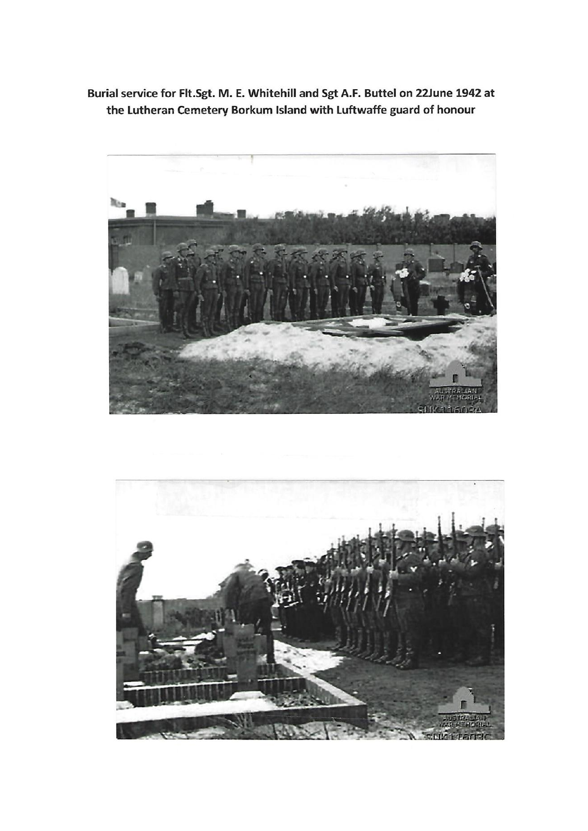Burial service for Flt.Sgt. M. E. Whitehill and Sgt A.F. Buttel on 22June 1942 at the Lutheran Cemetery Borkum Island with Luftwaffe guard of honour